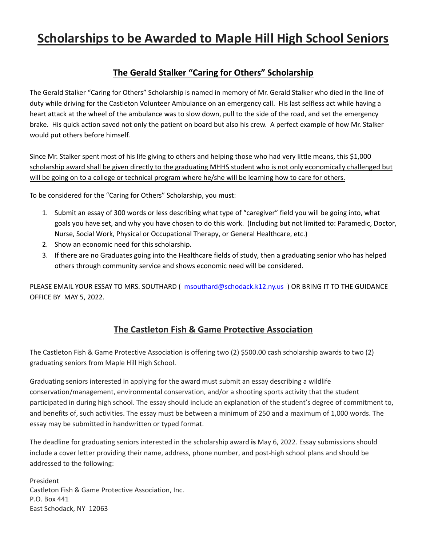# **Scholarships to be Awarded to Maple Hill High School Seniors**

# **The Gerald Stalker "Caring for Others" Scholarship**

The Gerald Stalker "Caring for Others" Scholarship is named in memory of Mr. Gerald Stalker who died in the line of duty while driving for the Castleton Volunteer Ambulance on an emergency call. His last selfless act while having a heart attack at the wheel of the ambulance was to slow down, pull to the side of the road, and set the emergency brake. His quick action saved not only the patient on board but also his crew. A perfect example of how Mr. Stalker would put others before himself.

Since Mr. Stalker spent most of his life giving to others and helping those who had very little means, this \$1,000 scholarship award shall be given directly to the graduating MHHS student who is not only economically challenged but will be going on to a college or technical program where he/she will be learning how to care for others.

To be considered for the "Caring for Others" Scholarship, you must:

- 1. Submit an essay of 300 words or less describing what type of "caregiver" field you will be going into, what goals you have set, and why you have chosen to do this work. (Including but not limited to: Paramedic, Doctor, Nurse, Social Work, Physical or Occupational Therapy, or General Healthcare, etc.)
- 2. Show an economic need for this scholarship.
- 3. If there are no Graduates going into the Healthcare fields of study, then a graduating senior who has helped others through community service and shows economic need will be considered.

PLEASE EMAIL YOUR ESSAY TO MRS. SOUTHARD (msouthard@schodack.k12.ny.us) OR BRING IT TO THE GUIDANCE OFFICE BY MAY 5, 2022.

## **The Castleton Fish & Game Protective Association**

The Castleton Fish & Game Protective Association is offering two (2) \$500.00 cash scholarship awards to two (2) graduating seniors from Maple Hill High School.

Graduating seniors interested in applying for the award must submit an essay describing a wildlife conservation/management, environmental conservation, and/or a shooting sports activity that the student participated in during high school. The essay should include an explanation of the student's degree of commitment to, and benefits of, such activities. The essay must be between a minimum of 250 and a maximum of 1,000 words. The essay may be submitted in handwritten or typed format.

The deadline for graduating seniors interested in the scholarship award **is** May 6, 2022. Essay submissions should include a cover letter providing their name, address, phone number, and post-high school plans and should be addressed to the following:

President Castleton Fish & Game Protective Association, Inc. P.O. Box 441 East Schodack, NY 12063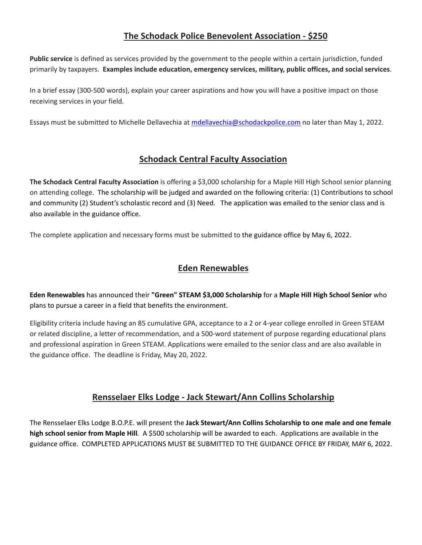# **The Schodack Police Benevolent Association - \$250**

**Public service** is defined as services provided by the government to the people within a certain jurisdiction, funded primarily by taxpayers. **Examples include education, emergency services, military, public offices, and social services**.

In a brief essay (300-500 words), explain your career aspirations and how you will have a positive impact on those receiving services in your field.

Essays must be submitted to Michelle Dellavechia at [mdellavechia@schodackpolice.com](mailto:mdellavechia@schodackpolice.com) no later than May 1, 2022.

#### **Schodack Central Faculty Association**

**The Schodack Central Faculty Association** is offering a \$3,000 scholarship for a Maple Hill High School senior planning on attending college. The scholarship will be judged and awarded on the following criteria: (1) Contributions to school and community (2) Student's scholastic record and (3) Need. The application was emailed to the senior class and is also available in the guidance office.

The complete application and necessary forms must be submitted to the guidance office by May 6, 2022.

#### **Eden Renewables**

**Eden Renewables** has announced their **"Green" STEAM \$3,000 Scholarship** for a **Maple Hill High School Senior** who plans to pursue a career in a field that benefits the environment.

Eligibility criteria include having an 85 cumulative GPA, acceptance to a 2 or 4-year college enrolled in Green STEAM or related discipline, a letter of recommendation, and a 500-word statement of purpose regarding educational plans and professional aspiration in Green STEAM. Applications were emailed to the senior class and are also available in the guidance office. The deadline is Friday, May 20, 2022.

## **Rensselaer Elks Lodge - Jack Stewart/Ann Collins Scholarship**

The Rensselaer Elks Lodge B.O.P.E. will present the **Jack Stewart/Ann Collins Scholarship to one male and one female high school senior from Maple Hill***.* A \$500 scholarship will be awarded to each. Applications are available in the guidance office. COMPLETED APPLICATIONS MUST BE SUBMITTED TO THE GUIDANCE OFFICE BY FRIDAY, MAY 6, 2022.